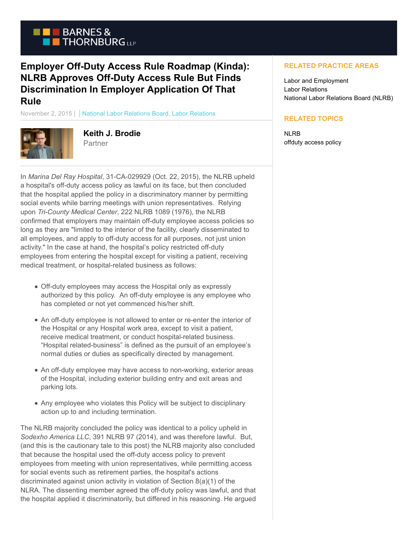

## **Employer Off-Duty Access Rule Roadmap (Kinda): NLRB Approves Off-Duty Access Rule But Finds Discrimination In Employer Application Of That Rule**

November 2, 2015 | National Labor Relations Board, Labor Relations



**Keith J. Brodie** Partner

In *Marina Del Ray Hospital*, 31-CA-029929 (Oct. 22, 2015), the NLRB upheld a hospital's off-duty access policy as lawful on its face, but then concluded that the hospital applied the policy in a discriminatory manner by permitting social events while barring meetings with union representatives. Relying upon *Tri-County Medical Center*, 222 NLRB 1089 (1976), the NLRB confirmed that employers may maintain off-duty employee access policies so long as they are "limited to the interior of the facility, clearly disseminated to all employees, and apply to off-duty access for all purposes, not just union activity." In the case at hand, the hospital's policy restricted off-duty employees from entering the hospital except for visiting a patient, receiving medical treatment, or hospital-related business as follows:

- Off-duty employees may access the Hospital only as expressly authorized by this policy. An off-duty employee is any employee who has completed or not yet commenced his/her shift.
- An off-duty employee is not allowed to enter or re-enter the interior of the Hospital or any Hospital work area, except to visit a patient, receive medical treatment, or conduct hospital-related business. "Hospital related-business" is defined as the pursuit of an employee's normal duties or duties as specifically directed by management.
- An off-duty employee may have access to non-working, exterior areas of the Hospital, including exterior building entry and exit areas and parking lots.
- Any employee who violates this Policy will be subject to disciplinary action up to and including termination.

The NLRB majority concluded the policy was identical to a policy upheld in *Sodexho America LLC*, 391 NLRB 97 (2014), and was therefore lawful. But, (and this is the cautionary tale to this post) the NLRB majority also concluded that because the hospital used the off-duty access policy to prevent employees from meeting with union representatives, while permitting access for social events such as retirement parties, the hospital's actions discriminated against union activity in violation of Section 8(a)(1) of the NLRA. The dissenting member agreed the off-duty policy was lawful, and that the hospital applied it discriminatorily, but differed in his reasoning. He argued

## **RELATED PRACTICE AREAS**

Labor and Employment Labor Relations National Labor Relations Board (NLRB)

## **RELATED TOPICS**

NLRB offduty access policy